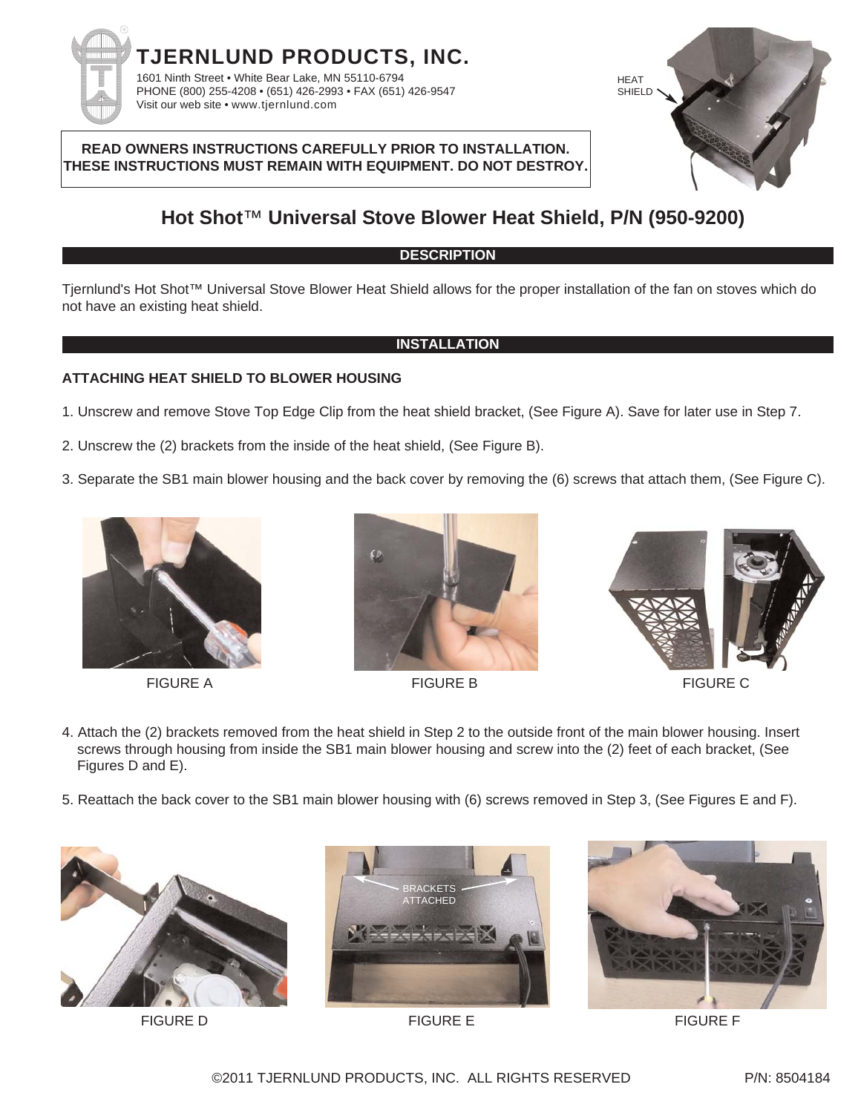

### **READ OWNERS INSTRUCTIONS CAREFULLY PRIOR TO INSTALLATION. THESE INSTRUCTIONS MUST REMAIN WITH EQUIPMENT. DO NOT DESTROY.**



# **Hot Shot**™ **Universal Stove Blower Heat Shield, P/N (950-9200)**

### **DESCRIPTION**

Tjernlund's Hot Shot™ Universal Stove Blower Heat Shield allows for the proper installation of the fan on stoves which do not have an existing heat shield.

#### **INSTALLATION**

## **ATTACHING HEAT SHIELD TO BLOWER HOUSING**

- 1. Unscrew and remove Stove Top Edge Clip from the heat shield bracket, (See Figure A). Save for later use in Step 7.
- 2. Unscrew the (2) brackets from the inside of the heat shield, (See Figure B).
- 3. Separate the SB1 main blower housing and the back cover by removing the (6) screws that attach them, (See Figure C).







FIGURE A FIGURE B FIGURE C

- 4. Attach the (2) brackets removed from the heat shield in Step 2 to the outside front of the main blower housing. Insert screws through housing from inside the SB1 main blower housing and screw into the (2) feet of each bracket, (See Figures D and E).
- 5. Reattach the back cover to the SB1 main blower housing with (6) screws removed in Step 3, (See Figures E and F).



FIGURE D



FIGURE E FIGURE F